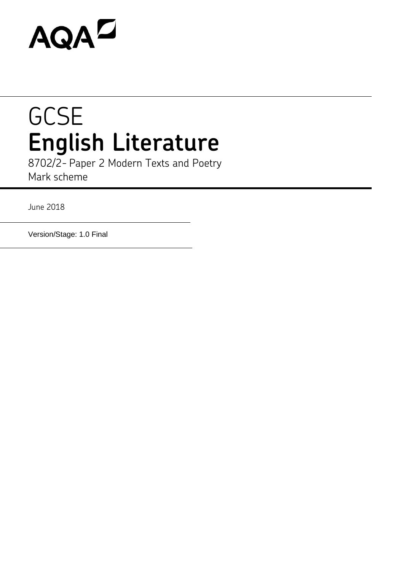# **AQAZ**

# **GCSE English Literature**

8702/2- Paper 2 Modern Texts and Poetry Mark scheme

June 2018

Version/Stage: 1.0 Final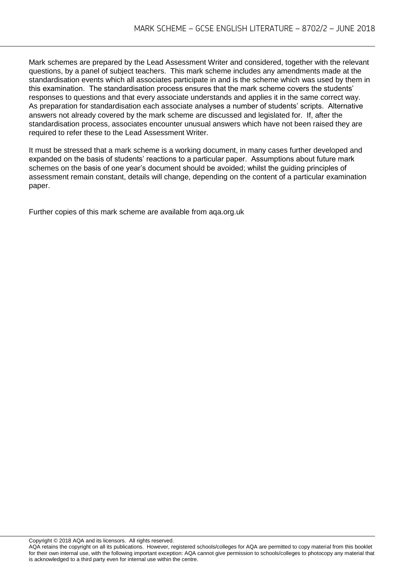Mark schemes are prepared by the Lead Assessment Writer and considered, together with the relevant questions, by a panel of subject teachers. This mark scheme includes any amendments made at the standardisation events which all associates participate in and is the scheme which was used by them in this examination. The standardisation process ensures that the mark scheme covers the students' responses to questions and that every associate understands and applies it in the same correct way. As preparation for standardisation each associate analyses a number of students' scripts. Alternative answers not already covered by the mark scheme are discussed and legislated for. If, after the standardisation process, associates encounter unusual answers which have not been raised they are required to refer these to the Lead Assessment Writer.

It must be stressed that a mark scheme is a working document, in many cases further developed and expanded on the basis of students' reactions to a particular paper. Assumptions about future mark schemes on the basis of one year's document should be avoided; whilst the guiding principles of assessment remain constant, details will change, depending on the content of a particular examination paper.

Further copies of this mark scheme are available from aqa.org.uk

Copyright © 2018 AQA and its licensors. All rights reserved.

Copyright © 2016 AQA and its licensors. Air rights reserved.<br>AQA retains the copyright on all its publications. However, registered schools/colleges for AQA are permitted to copy material from this booklet for their own internal use, with the following important exception: AQA cannot give permission to schools/colleges to photocopy any material that is acknowledged to a third party even for internal use within the centre.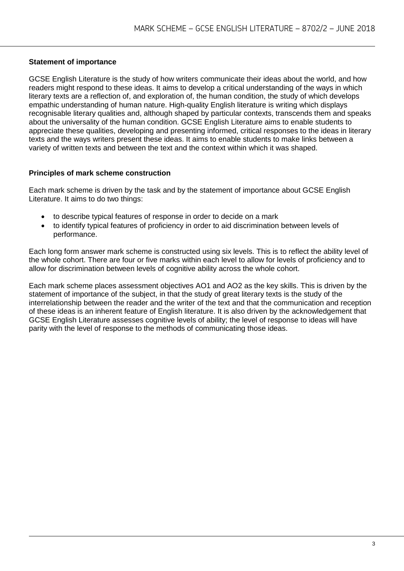# **Statement of importance**

GCSE English Literature is the study of how writers communicate their ideas about the world, and how readers might respond to these ideas. It aims to develop a critical understanding of the ways in which literary texts are a reflection of, and exploration of, the human condition, the study of which develops empathic understanding of human nature. High-quality English literature is writing which displays recognisable literary qualities and, although shaped by particular contexts, transcends them and speaks about the universality of the human condition. GCSE English Literature aims to enable students to appreciate these qualities, developing and presenting informed, critical responses to the ideas in literary texts and the ways writers present these ideas. It aims to enable students to make links between a variety of written texts and between the text and the context within which it was shaped.

#### **Principles of mark scheme construction**

Each mark scheme is driven by the task and by the statement of importance about GCSE English Literature. It aims to do two things:

- to describe typical features of response in order to decide on a mark
- to identify typical features of proficiency in order to aid discrimination between levels of performance.

Each long form answer mark scheme is constructed using six levels. This is to reflect the ability level of the whole cohort. There are four or five marks within each level to allow for levels of proficiency and to allow for discrimination between levels of cognitive ability across the whole cohort.

Each mark scheme places assessment objectives AO1 and AO2 as the key skills. This is driven by the statement of importance of the subject, in that the study of great literary texts is the study of the interrelationship between the reader and the writer of the text and that the communication and reception of these ideas is an inherent feature of English literature. It is also driven by the acknowledgement that GCSE English Literature assesses cognitive levels of ability; the level of response to ideas will have parity with the level of response to the methods of communicating those ideas.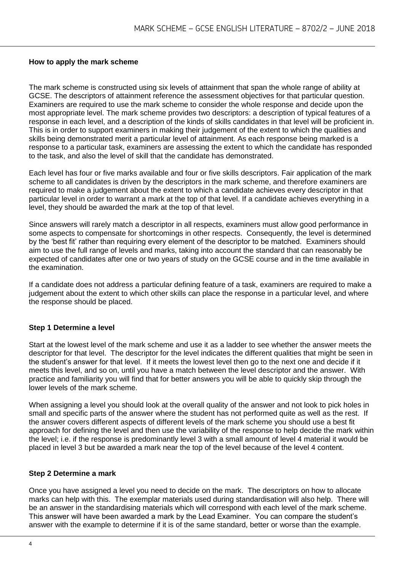#### **How to apply the mark scheme**

The mark scheme is constructed using six levels of attainment that span the whole range of ability at GCSE. The descriptors of attainment reference the assessment objectives for that particular question. Examiners are required to use the mark scheme to consider the whole response and decide upon the most appropriate level. The mark scheme provides two descriptors: a description of typical features of a response in each level, and a description of the kinds of skills candidates in that level will be proficient in. This is in order to support examiners in making their judgement of the extent to which the qualities and skills being demonstrated merit a particular level of attainment. As each response being marked is a response to a particular task, examiners are assessing the extent to which the candidate has responded to the task, and also the level of skill that the candidate has demonstrated.

Each level has four or five marks available and four or five skills descriptors. Fair application of the mark scheme to all candidates is driven by the descriptors in the mark scheme, and therefore examiners are required to make a judgement about the extent to which a candidate achieves every descriptor in that particular level in order to warrant a mark at the top of that level. If a candidate achieves everything in a level, they should be awarded the mark at the top of that level.

Since answers will rarely match a descriptor in all respects, examiners must allow good performance in some aspects to compensate for shortcomings in other respects. Consequently, the level is determined by the 'best fit' rather than requiring every element of the descriptor to be matched. Examiners should aim to use the full range of levels and marks, taking into account the standard that can reasonably be expected of candidates after one or two years of study on the GCSE course and in the time available in the examination.

If a candidate does not address a particular defining feature of a task, examiners are required to make a judgement about the extent to which other skills can place the response in a particular level, and where the response should be placed.

#### **Step 1 Determine a level**

Start at the lowest level of the mark scheme and use it as a ladder to see whether the answer meets the descriptor for that level. The descriptor for the level indicates the different qualities that might be seen in the student's answer for that level. If it meets the lowest level then go to the next one and decide if it meets this level, and so on, until you have a match between the level descriptor and the answer. With practice and familiarity you will find that for better answers you will be able to quickly skip through the lower levels of the mark scheme.

When assigning a level you should look at the overall quality of the answer and not look to pick holes in small and specific parts of the answer where the student has not performed quite as well as the rest. If the answer covers different aspects of different levels of the mark scheme you should use a best fit approach for defining the level and then use the variability of the response to help decide the mark within the level; i.e. if the response is predominantly level 3 with a small amount of level 4 material it would be placed in level 3 but be awarded a mark near the top of the level because of the level 4 content.

#### **Step 2 Determine a mark**

Once you have assigned a level you need to decide on the mark. The descriptors on how to allocate marks can help with this. The exemplar materials used during standardisation will also help. There will be an answer in the standardising materials which will correspond with each level of the mark scheme. This answer will have been awarded a mark by the Lead Examiner. You can compare the student's answer with the example to determine if it is of the same standard, better or worse than the example.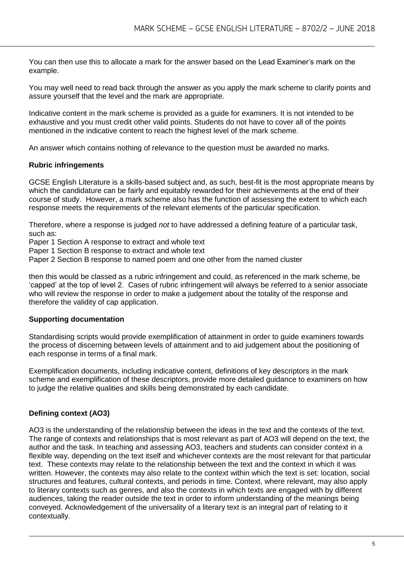You can then use this to allocate a mark for the answer based on the Lead Examiner's mark on the example.

You may well need to read back through the answer as you apply the mark scheme to clarify points and assure yourself that the level and the mark are appropriate.

Indicative content in the mark scheme is provided as a guide for examiners. It is not intended to be exhaustive and you must credit other valid points. Students do not have to cover all of the points mentioned in the indicative content to reach the highest level of the mark scheme.

An answer which contains nothing of relevance to the question must be awarded no marks.

#### **Rubric infringements**

GCSE English Literature is a skills-based subject and, as such, best-fit is the most appropriate means by which the candidature can be fairly and equitably rewarded for their achievements at the end of their course of study. However, a mark scheme also has the function of assessing the extent to which each response meets the requirements of the relevant elements of the particular specification.

Therefore, where a response is judged *not* to have addressed a defining feature of a particular task, such as:

Paper 1 Section A response to extract and whole text

Paper 1 Section B response to extract and whole text

Paper 2 Section B response to named poem and one other from the named cluster

then this would be classed as a rubric infringement and could, as referenced in the mark scheme, be 'capped' at the top of level 2. Cases of rubric infringement will always be referred to a senior associate who will review the response in order to make a judgement about the totality of the response and therefore the validity of cap application.

#### **Supporting documentation**

Standardising scripts would provide exemplification of attainment in order to guide examiners towards the process of discerning between levels of attainment and to aid judgement about the positioning of each response in terms of a final mark.

Exemplification documents, including indicative content, definitions of key descriptors in the mark scheme and exemplification of these descriptors, provide more detailed guidance to examiners on how to judge the relative qualities and skills being demonstrated by each candidate.

#### **Defining context (AO3)**

AO3 is the understanding of the relationship between the ideas in the text and the contexts of the text. The range of contexts and relationships that is most relevant as part of AO3 will depend on the text, the author and the task. In teaching and assessing AO3, teachers and students can consider context in a flexible way, depending on the text itself and whichever contexts are the most relevant for that particular text. These contexts may relate to the relationship between the text and the context in which it was written. However, the contexts may also relate to the context within which the text is set: location, social structures and features, cultural contexts, and periods in time. Context, where relevant, may also apply to literary contexts such as genres, and also the contexts in which texts are engaged with by different audiences, taking the reader outside the text in order to inform understanding of the meanings being conveyed. Acknowledgement of the universality of a literary text is an integral part of relating to it contextually.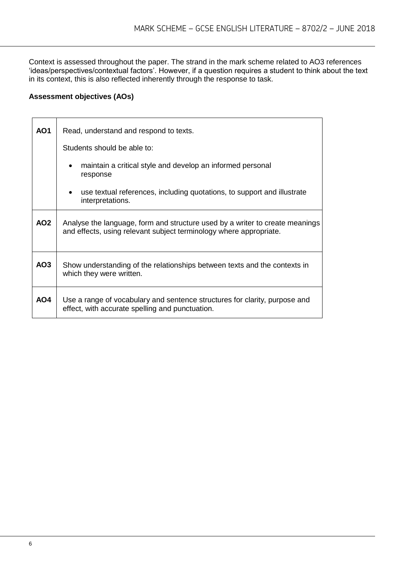Context is assessed throughout the paper. The strand in the mark scheme related to AO3 references 'ideas/perspectives/contextual factors'. However, if a question requires a student to think about the text in its context, this is also reflected inherently through the response to task.

# **Assessment objectives (AOs)**

| <b>AO1</b>      | Read, understand and respond to texts.                                                                                                             |  |  |
|-----------------|----------------------------------------------------------------------------------------------------------------------------------------------------|--|--|
|                 | Students should be able to:                                                                                                                        |  |  |
|                 | maintain a critical style and develop an informed personal<br>response                                                                             |  |  |
|                 | use textual references, including quotations, to support and illustrate<br>interpretations.                                                        |  |  |
| AO <sub>2</sub> | Analyse the language, form and structure used by a writer to create meanings<br>and effects, using relevant subject terminology where appropriate. |  |  |
| AO3             | Show understanding of the relationships between texts and the contexts in<br>which they were written.                                              |  |  |
| AO4             | Use a range of vocabulary and sentence structures for clarity, purpose and<br>effect, with accurate spelling and punctuation.                      |  |  |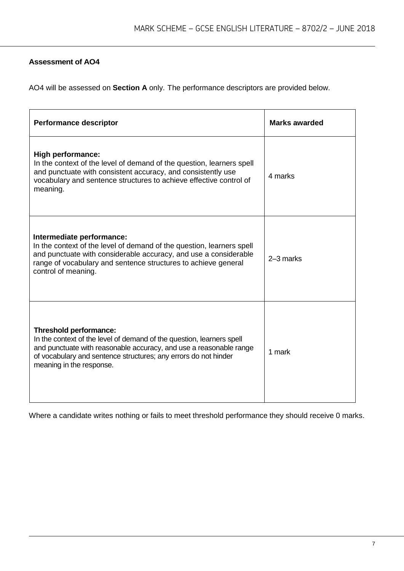# **Assessment of AO4**

AO4 will be assessed on **Section A** only. The performance descriptors are provided below.

| <b>Performance descriptor</b>                                                                                                                                                                                                                                               | <b>Marks awarded</b> |
|-----------------------------------------------------------------------------------------------------------------------------------------------------------------------------------------------------------------------------------------------------------------------------|----------------------|
| <b>High performance:</b><br>In the context of the level of demand of the question, learners spell<br>and punctuate with consistent accuracy, and consistently use<br>vocabulary and sentence structures to achieve effective control of<br>meaning.                         | 4 marks              |
| Intermediate performance:<br>In the context of the level of demand of the question, learners spell<br>and punctuate with considerable accuracy, and use a considerable<br>range of vocabulary and sentence structures to achieve general<br>control of meaning.             | 2-3 marks            |
| <b>Threshold performance:</b><br>In the context of the level of demand of the question, learners spell<br>and punctuate with reasonable accuracy, and use a reasonable range<br>of vocabulary and sentence structures; any errors do not hinder<br>meaning in the response. | 1 mark               |

Where a candidate writes nothing or fails to meet threshold performance they should receive 0 marks.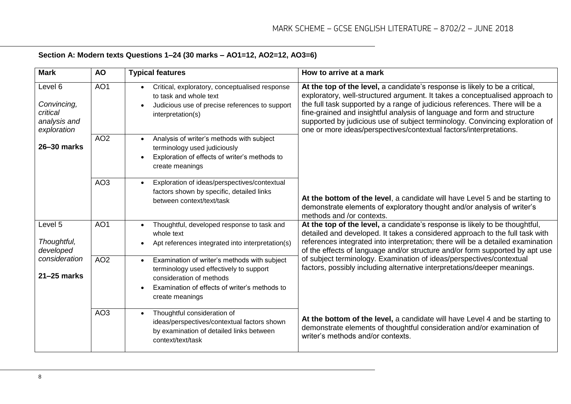# **Section A: Modern texts Questions 1–24 (30 marks – AO1=12, AO2=12, AO3=6)**

| <b>Mark</b>                                                             | <b>AO</b>       | <b>Typical features</b>                                                                                                                                                                              | How to arrive at a mark                                                                                                                                                                                                                                                                                                                                                                                                                                                     |
|-------------------------------------------------------------------------|-----------------|------------------------------------------------------------------------------------------------------------------------------------------------------------------------------------------------------|-----------------------------------------------------------------------------------------------------------------------------------------------------------------------------------------------------------------------------------------------------------------------------------------------------------------------------------------------------------------------------------------------------------------------------------------------------------------------------|
| Level 6<br>Convincing,<br>critical<br>analysis and<br>exploration       | AO <sub>1</sub> | Critical, exploratory, conceptualised response<br>$\bullet$<br>to task and whole text<br>Judicious use of precise references to support<br>interpretation(s)                                         | At the top of the level, a candidate's response is likely to be a critical,<br>exploratory, well-structured argument. It takes a conceptualised approach to<br>the full task supported by a range of judicious references. There will be a<br>fine-grained and insightful analysis of language and form and structure<br>supported by judicious use of subject terminology. Convincing exploration of<br>one or more ideas/perspectives/contextual factors/interpretations. |
| 26-30 marks                                                             | AO <sub>2</sub> | Analysis of writer's methods with subject<br>$\bullet$<br>terminology used judiciously<br>Exploration of effects of writer's methods to<br>create meanings                                           |                                                                                                                                                                                                                                                                                                                                                                                                                                                                             |
|                                                                         | AO <sub>3</sub> | Exploration of ideas/perspectives/contextual<br>$\bullet$<br>factors shown by specific, detailed links<br>between context/text/task                                                                  | At the bottom of the level, a candidate will have Level 5 and be starting to<br>demonstrate elements of exploratory thought and/or analysis of writer's<br>methods and /or contexts.                                                                                                                                                                                                                                                                                        |
| Level 5<br>Thoughtful,<br>developed<br>consideration<br>$21 - 25$ marks | AO <sub>1</sub> | Thoughtful, developed response to task and<br>$\bullet$<br>whole text<br>Apt references integrated into interpretation(s)                                                                            | At the top of the level, a candidate's response is likely to be thoughtful,<br>detailed and developed. It takes a considered approach to the full task with<br>references integrated into interpretation; there will be a detailed examination<br>of the effects of language and/or structure and/or form supported by apt use                                                                                                                                              |
|                                                                         | AO <sub>2</sub> | Examination of writer's methods with subject<br>$\bullet$<br>terminology used effectively to support<br>consideration of methods<br>Examination of effects of writer's methods to<br>create meanings | of subject terminology. Examination of ideas/perspectives/contextual<br>factors, possibly including alternative interpretations/deeper meanings.                                                                                                                                                                                                                                                                                                                            |
|                                                                         | AO <sub>3</sub> | Thoughtful consideration of<br>ideas/perspectives/contextual factors shown<br>by examination of detailed links between<br>context/text/task                                                          | At the bottom of the level, a candidate will have Level 4 and be starting to<br>demonstrate elements of thoughtful consideration and/or examination of<br>writer's methods and/or contexts.                                                                                                                                                                                                                                                                                 |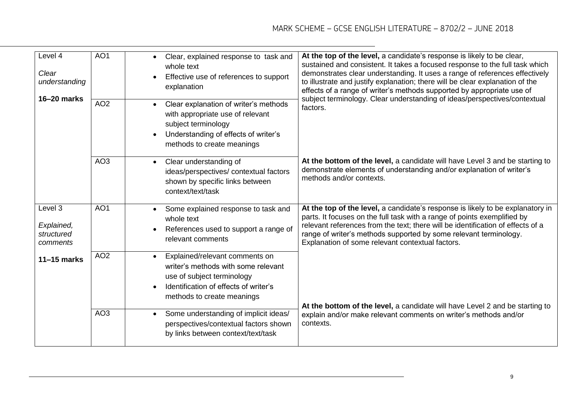| Level 4<br>Clear<br>understanding               | AO <sub>1</sub> | Clear, explained response to task and<br>$\bullet$<br>whole text<br>Effective use of references to support<br>explanation                                                                            | At the top of the level, a candidate's response is likely to be clear,<br>sustained and consistent. It takes a focused response to the full task which<br>demonstrates clear understanding. It uses a range of references effectively<br>to illustrate and justify explanation; there will be clear explanation of the<br>effects of a range of writer's methods supported by appropriate use of |
|-------------------------------------------------|-----------------|------------------------------------------------------------------------------------------------------------------------------------------------------------------------------------------------------|--------------------------------------------------------------------------------------------------------------------------------------------------------------------------------------------------------------------------------------------------------------------------------------------------------------------------------------------------------------------------------------------------|
| 16-20 marks                                     | AO <sub>2</sub> | Clear explanation of writer's methods<br>$\bullet$<br>with appropriate use of relevant<br>subject terminology<br>Understanding of effects of writer's<br>$\bullet$<br>methods to create meanings     | subject terminology. Clear understanding of ideas/perspectives/contextual<br>factors.                                                                                                                                                                                                                                                                                                            |
|                                                 | AO <sub>3</sub> | Clear understanding of<br>$\bullet$<br>ideas/perspectives/ contextual factors<br>shown by specific links between<br>context/text/task                                                                | At the bottom of the level, a candidate will have Level 3 and be starting to<br>demonstrate elements of understanding and/or explanation of writer's<br>methods and/or contexts.                                                                                                                                                                                                                 |
| Level 3<br>Explained,<br>structured<br>comments | AO <sub>1</sub> | Some explained response to task and<br>$\bullet$<br>whole text<br>References used to support a range of<br>$\bullet$<br>relevant comments                                                            | At the top of the level, a candidate's response is likely to be explanatory in<br>parts. It focuses on the full task with a range of points exemplified by<br>relevant references from the text; there will be identification of effects of a<br>range of writer's methods supported by some relevant terminology.<br>Explanation of some relevant contextual factors.                           |
| $11-15$ marks                                   | AO <sub>2</sub> | Explained/relevant comments on<br>$\bullet$<br>writer's methods with some relevant<br>use of subject terminology<br>Identification of effects of writer's<br>$\bullet$<br>methods to create meanings |                                                                                                                                                                                                                                                                                                                                                                                                  |
|                                                 | AO <sub>3</sub> | Some understanding of implicit ideas/<br>$\bullet$<br>perspectives/contextual factors shown<br>by links between context/text/task                                                                    | At the bottom of the level, a candidate will have Level 2 and be starting to<br>explain and/or make relevant comments on writer's methods and/or<br>contexts.                                                                                                                                                                                                                                    |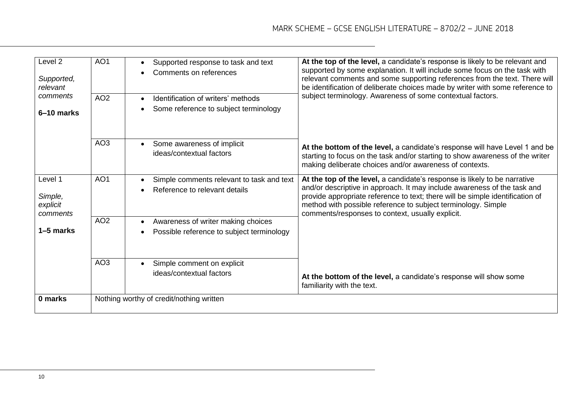| Level <sub>2</sub><br>Supported,<br>relevant<br>comments<br>6-10 marks | AO <sub>1</sub> | Supported response to task and text<br>$\bullet$<br>Comments on references                                | At the top of the level, a candidate's response is likely to be relevant and<br>supported by some explanation. It will include some focus on the task with<br>relevant comments and some supporting references from the text. There will<br>be identification of deliberate choices made by writer with some reference to                                   |
|------------------------------------------------------------------------|-----------------|-----------------------------------------------------------------------------------------------------------|-------------------------------------------------------------------------------------------------------------------------------------------------------------------------------------------------------------------------------------------------------------------------------------------------------------------------------------------------------------|
|                                                                        | AO <sub>2</sub> | Identification of writers' methods<br>$\bullet$<br>Some reference to subject terminology                  | subject terminology. Awareness of some contextual factors.                                                                                                                                                                                                                                                                                                  |
|                                                                        | AO <sub>3</sub> | Some awareness of implicit<br>$\bullet$<br>ideas/contextual factors                                       | At the bottom of the level, a candidate's response will have Level 1 and be<br>starting to focus on the task and/or starting to show awareness of the writer<br>making deliberate choices and/or awareness of contexts.                                                                                                                                     |
| Level 1<br>Simple,<br>explicit<br>comments                             | AO <sub>1</sub> | Simple comments relevant to task and text<br>$\bullet$<br>Reference to relevant details                   | At the top of the level, a candidate's response is likely to be narrative<br>and/or descriptive in approach. It may include awareness of the task and<br>provide appropriate reference to text; there will be simple identification of<br>method with possible reference to subject terminology. Simple<br>comments/responses to context, usually explicit. |
| 1–5 marks                                                              | AO <sub>2</sub> | Awareness of writer making choices<br>$\bullet$<br>Possible reference to subject terminology<br>$\bullet$ |                                                                                                                                                                                                                                                                                                                                                             |
|                                                                        | AO <sub>3</sub> | Simple comment on explicit<br>ideas/contextual factors                                                    | At the bottom of the level, a candidate's response will show some<br>familiarity with the text.                                                                                                                                                                                                                                                             |
| 0 marks                                                                |                 | Nothing worthy of credit/nothing written                                                                  |                                                                                                                                                                                                                                                                                                                                                             |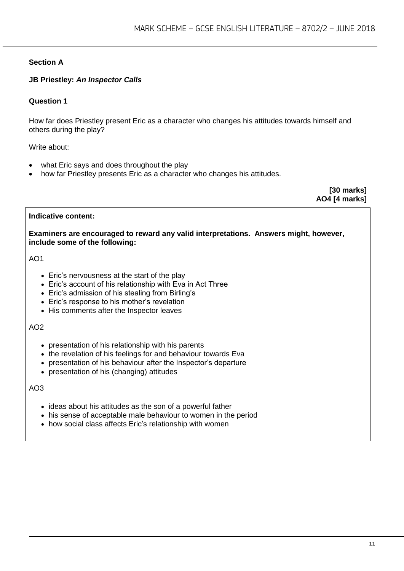# **Section A**

# **JB Priestley:** *An Inspector Calls*

# **Question 1**

How far does Priestley present Eric as a character who changes his attitudes towards himself and others during the play?

#### Write about:

- what Eric says and does throughout the play
- how far Priestley presents Eric as a character who changes his attitudes.

**[30 marks] AO4 [4 marks]**

#### **Indicative content:**

**Examiners are encouraged to reward any valid interpretations. Answers might, however, include some of the following:**

AO1

- Eric's nervousness at the start of the play
- Eric's account of his relationship with Eva in Act Three
- Eric's admission of his stealing from Birling's
- Eric's response to his mother's revelation
- His comments after the Inspector leaves

#### AO2

- presentation of his relationship with his parents
- the revelation of his feelings for and behaviour towards Eva
- presentation of his behaviour after the Inspector's departure
- presentation of his (changing) attitudes

- ideas about his attitudes as the son of a powerful father
- his sense of acceptable male behaviour to women in the period
- how social class affects Eric's relationship with women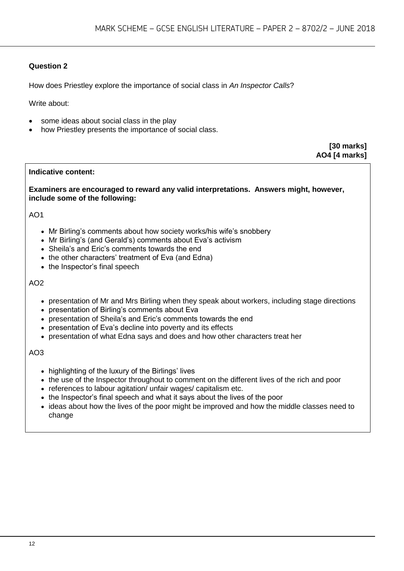How does Priestley explore the importance of social class in *An Inspector Calls*?

Write about:

- some ideas about social class in the play
- how Priestley presents the importance of social class.

**[30 marks] AO4 [4 marks]**

#### **Indicative content:**

**Examiners are encouraged to reward any valid interpretations. Answers might, however, include some of the following:**

AO1

- Mr Birling's comments about how society works/his wife's snobbery
- Mr Birling's (and Gerald's) comments about Eva's activism
- Sheila's and Eric's comments towards the end
- the other characters' treatment of Eva (and Edna)
- the Inspector's final speech

#### AO2

- presentation of Mr and Mrs Birling when they speak about workers, including stage directions
- presentation of Birling's comments about Eva
- presentation of Sheila's and Eric's comments towards the end
- presentation of Eva's decline into poverty and its effects
- presentation of what Edna says and does and how other characters treat her

- highlighting of the luxury of the Birlings' lives
- the use of the Inspector throughout to comment on the different lives of the rich and poor
- references to labour agitation/ unfair wages/ capitalism etc.
- the Inspector's final speech and what it says about the lives of the poor
- ideas about how the lives of the poor might be improved and how the middle classes need to change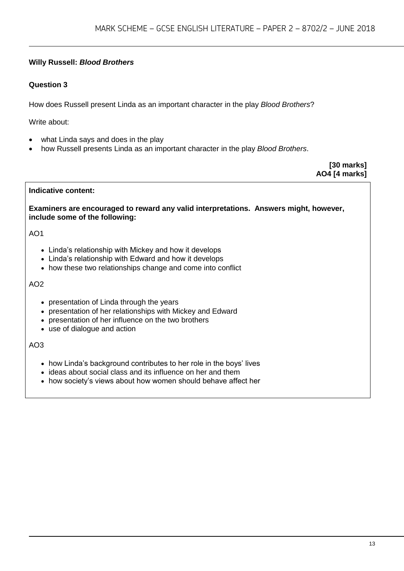# **Willy Russell:** *Blood Brothers*

# **Question 3**

How does Russell present Linda as an important character in the play *Blood Brothers*?

Write about:

- what Linda says and does in the play
- how Russell presents Linda as an important character in the play *Blood Brothers*.

**[30 marks] AO4 [4 marks]**

# **Indicative content:**

**Examiners are encouraged to reward any valid interpretations. Answers might, however, include some of the following:**

# AO1

- Linda's relationship with Mickey and how it develops
- Linda's relationship with Edward and how it develops
- how these two relationships change and come into conflict

#### AO2

- presentation of Linda through the years
- presentation of her relationships with Mickey and Edward
- presentation of her influence on the two brothers
- use of dialogue and action

- how Linda's background contributes to her role in the boys' lives
- ideas about social class and its influence on her and them
- how society's views about how women should behave affect her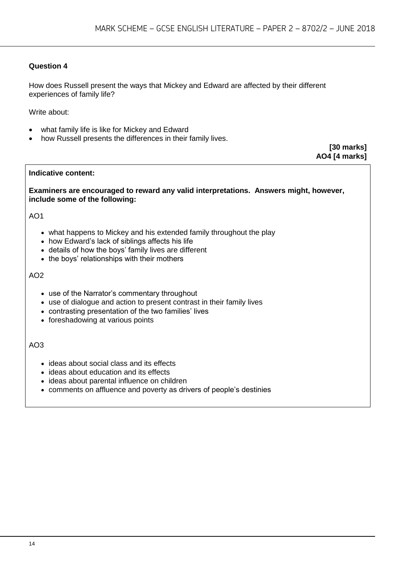How does Russell present the ways that Mickey and Edward are affected by their different experiences of family life?

Write about:

- what family life is like for Mickey and Edward
- how Russell presents the differences in their family lives.

**[30 marks] AO4 [4 marks]**

#### **Indicative content:**

**Examiners are encouraged to reward any valid interpretations. Answers might, however, include some of the following:**

#### AO1

- what happens to Mickey and his extended family throughout the play
- how Edward's lack of siblings affects his life
- details of how the boys' family lives are different
- the boys' relationships with their mothers

#### AO2

- use of the Narrator's commentary throughout
- use of dialogue and action to present contrast in their family lives
- contrasting presentation of the two families' lives
- foreshadowing at various points

- ideas about social class and its effects
- ideas about education and its effects
- ideas about parental influence on children
- comments on affluence and poverty as drivers of people's destinies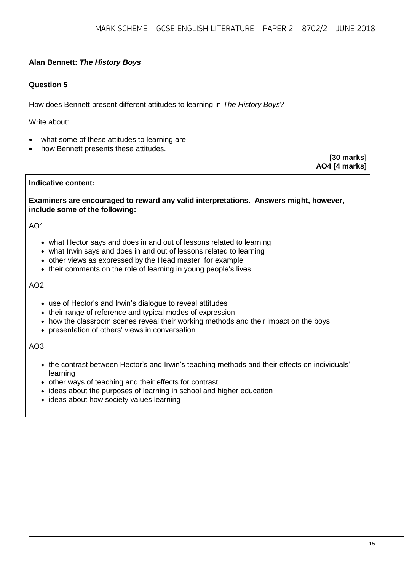# **Alan Bennett:** *The History Boys*

# **Question 5**

How does Bennett present different attitudes to learning in *The History Boys*?

Write about:

- what some of these attitudes to learning are
- how Bennett presents these attitudes.

**[30 marks] AO4 [4 marks]**

#### **Indicative content:**

**Examiners are encouraged to reward any valid interpretations. Answers might, however, include some of the following:**

#### AO1

- what Hector says and does in and out of lessons related to learning
- what Irwin says and does in and out of lessons related to learning
- other views as expressed by the Head master, for example
- their comments on the role of learning in young people's lives

#### AO2

- use of Hector's and Irwin's dialogue to reveal attitudes
- their range of reference and typical modes of expression
- how the classroom scenes reveal their working methods and their impact on the boys
- presentation of others' views in conversation

- the contrast between Hector's and Irwin's teaching methods and their effects on individuals' learning
- other ways of teaching and their effects for contrast
- ideas about the purposes of learning in school and higher education
- ideas about how society values learning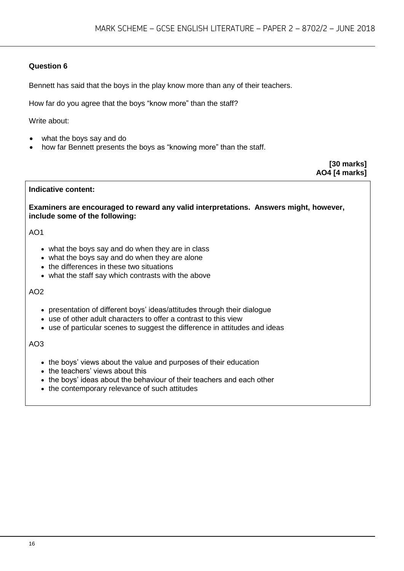Bennett has said that the boys in the play know more than any of their teachers.

How far do you agree that the boys "know more" than the staff?

Write about:

- what the boys say and do
- how far Bennett presents the boys as "knowing more" than the staff.

**[30 marks] AO4 [4 marks]**

#### **Indicative content:**

**Examiners are encouraged to reward any valid interpretations. Answers might, however, include some of the following:**

#### AO1

- what the boys say and do when they are in class
- what the boys say and do when they are alone
- the differences in these two situations
- what the staff say which contrasts with the above

#### AO2

- presentation of different boys' ideas/attitudes through their dialogue
- use of other adult characters to offer a contrast to this view
- use of particular scenes to suggest the difference in attitudes and ideas

- the boys' views about the value and purposes of their education
- the teachers' views about this
- the boys' ideas about the behaviour of their teachers and each other
- the contemporary relevance of such attitudes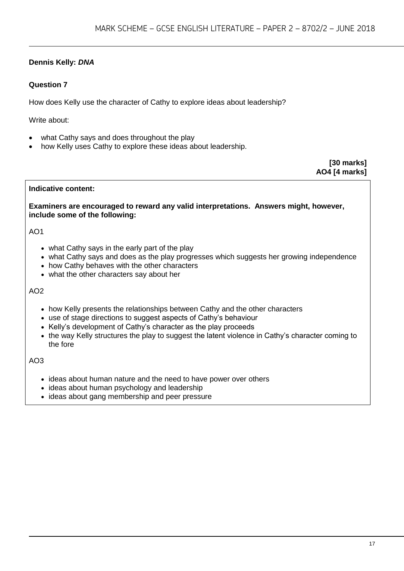# **Dennis Kelly:** *DNA*

# **Question 7**

How does Kelly use the character of Cathy to explore ideas about leadership?

Write about:

- what Cathy says and does throughout the play
- how Kelly uses Cathy to explore these ideas about leadership.

**[30 marks] AO4 [4 marks]**

#### **Indicative content:**

**Examiners are encouraged to reward any valid interpretations. Answers might, however, include some of the following:**

#### AO1

- what Cathy says in the early part of the play
- what Cathy says and does as the play progresses which suggests her growing independence
- how Cathy behaves with the other characters
- what the other characters say about her

AO2

- how Kelly presents the relationships between Cathy and the other characters
- use of stage directions to suggest aspects of Cathy's behaviour
- Kelly's development of Cathy's character as the play proceeds
- the way Kelly structures the play to suggest the latent violence in Cathy's character coming to the fore

- ideas about human nature and the need to have power over others
- ideas about human psychology and leadership
- ideas about gang membership and peer pressure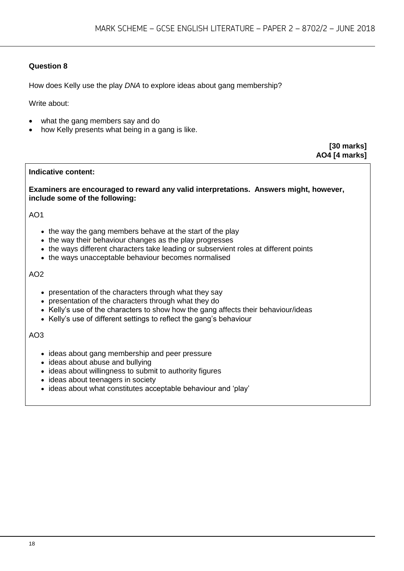How does Kelly use the play *DNA* to explore ideas about gang membership?

Write about:

- what the gang members say and do
- how Kelly presents what being in a gang is like.

**[30 marks] AO4 [4 marks]**

#### **Indicative content:**

**Examiners are encouraged to reward any valid interpretations. Answers might, however, include some of the following:**

AO1

- the way the gang members behave at the start of the play
- the way their behaviour changes as the play progresses
- the ways different characters take leading or subservient roles at different points
- the ways unacceptable behaviour becomes normalised

#### AO2

- presentation of the characters through what they say
- presentation of the characters through what they do
- Kelly's use of the characters to show how the gang affects their behaviour/ideas
- Kelly's use of different settings to reflect the gang's behaviour

- ideas about gang membership and peer pressure
- ideas about abuse and bullying
- ideas about willingness to submit to authority figures
- ideas about teenagers in society
- ideas about what constitutes acceptable behaviour and 'play'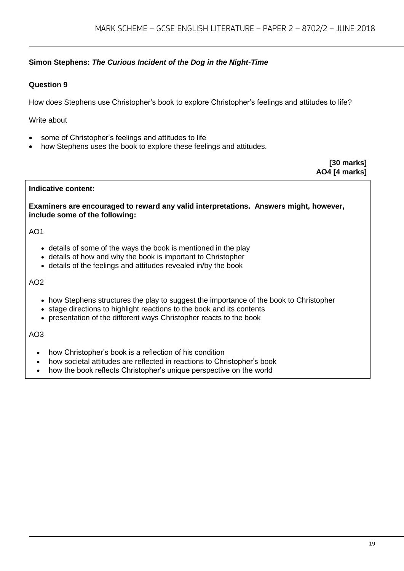# **Simon Stephens:** *The Curious Incident of the Dog in the Night-Time*

# **Question 9**

How does Stephens use Christopher's book to explore Christopher's feelings and attitudes to life?

Write about

- some of Christopher's feelings and attitudes to life
- how Stephens uses the book to explore these feelings and attitudes.

**[30 marks] AO4 [4 marks]**

#### **Indicative content:**

**Examiners are encouraged to reward any valid interpretations. Answers might, however, include some of the following:**

#### AO1

- details of some of the ways the book is mentioned in the play
- details of how and why the book is important to Christopher
- details of the feelings and attitudes revealed in/by the book

#### AO2

- how Stephens structures the play to suggest the importance of the book to Christopher
- stage directions to highlight reactions to the book and its contents
- presentation of the different ways Christopher reacts to the book

- how Christopher's book is a reflection of his condition
- how societal attitudes are reflected in reactions to Christopher's book
- how the book reflects Christopher's unique perspective on the world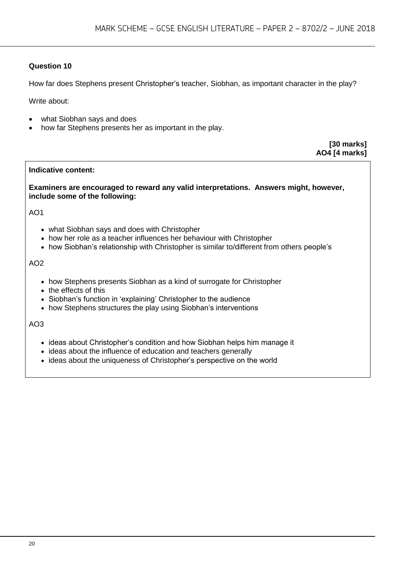How far does Stephens present Christopher's teacher, Siobhan, as important character in the play?

Write about:

- what Siobhan says and does
- how far Stephens presents her as important in the play.

**[30 marks] AO4 [4 marks]**

#### **Indicative content:**

**Examiners are encouraged to reward any valid interpretations. Answers might, however, include some of the following:**

AO1

- what Siobhan says and does with Christopher
- how her role as a teacher influences her behaviour with Christopher
- how Siobhan's relationship with Christopher is similar to/different from others people's

#### AO2

- how Stephens presents Siobhan as a kind of surrogate for Christopher
- the effects of this
- Siobhan's function in 'explaining' Christopher to the audience
- how Stephens structures the play using Siobhan's interventions

- ideas about Christopher's condition and how Siobhan helps him manage it
- ideas about the influence of education and teachers generally
- ideas about the uniqueness of Christopher's perspective on the world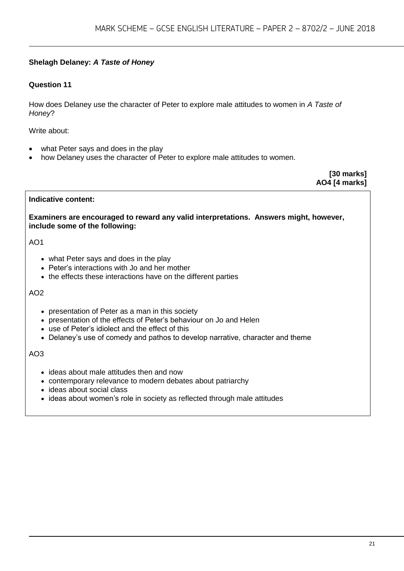# **Shelagh Delaney:** *A Taste of Honey*

#### **Question 11**

How does Delaney use the character of Peter to explore male attitudes to women in *A Taste of Honey*?

Write about:

- what Peter says and does in the play
- how Delaney uses the character of Peter to explore male attitudes to women.

**[30 marks] AO4 [4 marks]**

#### **Indicative content:**

**Examiners are encouraged to reward any valid interpretations. Answers might, however, include some of the following:**

#### AO1

- what Peter says and does in the play
- Peter's interactions with Jo and her mother
- the effects these interactions have on the different parties

#### AO2

- presentation of Peter as a man in this society
- presentation of the effects of Peter's behaviour on Jo and Helen
- use of Peter's idiolect and the effect of this
- Delaney's use of comedy and pathos to develop narrative, character and theme

- ideas about male attitudes then and now
- contemporary relevance to modern debates about patriarchy
- ideas about social class
- ideas about women's role in society as reflected through male attitudes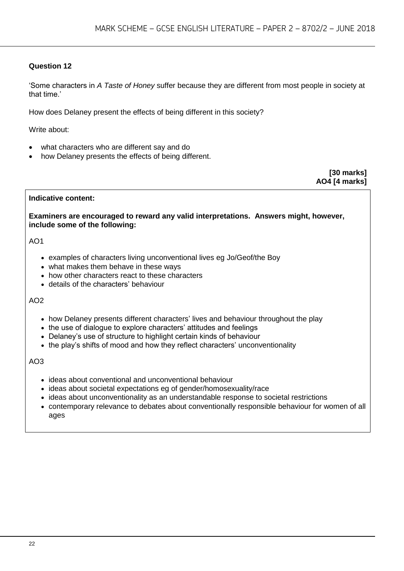'Some characters in *A Taste of Honey* suffer because they are different from most people in society at that time.'

How does Delaney present the effects of being different in this society?

Write about:

- what characters who are different say and do
- how Delaney presents the effects of being different.

**[30 marks] AO4 [4 marks]**

#### **Indicative content:**

**Examiners are encouraged to reward any valid interpretations. Answers might, however, include some of the following:**

AO1

- examples of characters living unconventional lives eg Jo/Geof/the Boy
- what makes them behave in these ways
- how other characters react to these characters
- details of the characters' behaviour

AO2

- how Delaney presents different characters' lives and behaviour throughout the play
- the use of dialogue to explore characters' attitudes and feelings
- Delaney's use of structure to highlight certain kinds of behaviour
- the play's shifts of mood and how they reflect characters' unconventionality

- ideas about conventional and unconventional behaviour
- ideas about societal expectations eg of gender/homosexuality/race
- ideas about unconventionality as an understandable response to societal restrictions
- contemporary relevance to debates about conventionally responsible behaviour for women of all ages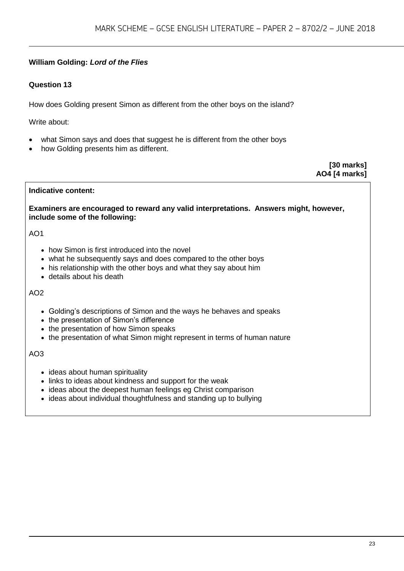# **William Golding:** *Lord of the Flies*

# **Question 13**

How does Golding present Simon as different from the other boys on the island?

Write about:

- what Simon says and does that suggest he is different from the other boys
- how Golding presents him as different.

**[30 marks] AO4 [4 marks]**

# **Indicative content:**

**Examiners are encouraged to reward any valid interpretations. Answers might, however, include some of the following:**

# AO1

- how Simon is first introduced into the novel
- what he subsequently says and does compared to the other boys
- his relationship with the other boys and what they say about him
- details about his death

#### AO2

- Golding's descriptions of Simon and the ways he behaves and speaks
- the presentation of Simon's difference
- the presentation of how Simon speaks
- the presentation of what Simon might represent in terms of human nature

- ideas about human spirituality
- links to ideas about kindness and support for the weak
- ideas about the deepest human feelings eg Christ comparison
- ideas about individual thoughtfulness and standing up to bullying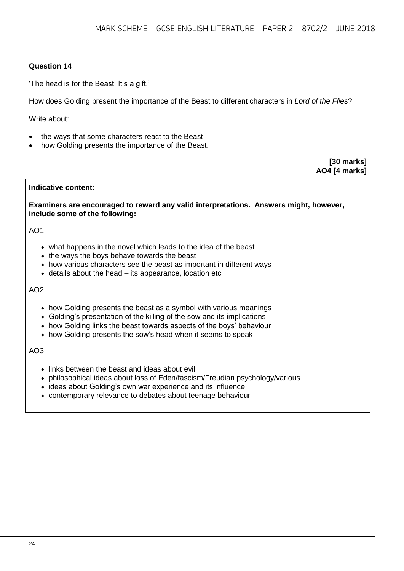'The head is for the Beast. It's a gift.'

How does Golding present the importance of the Beast to different characters in *Lord of the Flies*?

Write about:

- the ways that some characters react to the Beast
- how Golding presents the importance of the Beast.

**[30 marks] AO4 [4 marks]**

#### **Indicative content:**

**Examiners are encouraged to reward any valid interpretations. Answers might, however, include some of the following:**

#### $AO1$

- what happens in the novel which leads to the idea of the beast
- the ways the boys behave towards the beast
- how various characters see the beast as important in different ways
- details about the head its appearance, location etc

#### AO2

- how Golding presents the beast as a symbol with various meanings
- Golding's presentation of the killing of the sow and its implications
- how Golding links the beast towards aspects of the boys' behaviour
- how Golding presents the sow's head when it seems to speak

- links between the beast and ideas about evil
- philosophical ideas about loss of Eden/fascism/Freudian psychology/various
- ideas about Golding's own war experience and its influence
- contemporary relevance to debates about teenage behaviour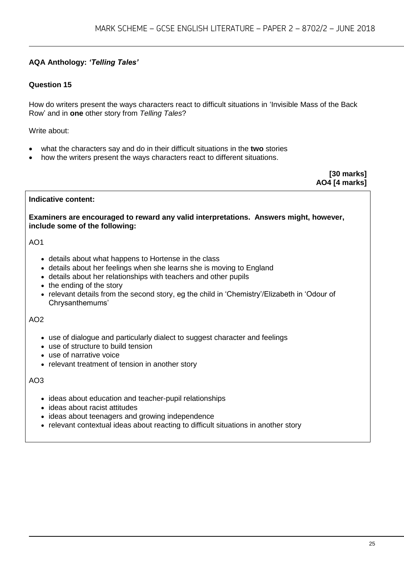# **AQA Anthology:** *'Telling Tales'*

# **Question 15**

How do writers present the ways characters react to difficult situations in 'Invisible Mass of the Back Row' and in **one** other story from *Telling Tales*?

Write about:

- what the characters say and do in their difficult situations in the **two** stories
- how the writers present the ways characters react to different situations.

**[30 marks] AO4 [4 marks]**

#### **Indicative content:**

**Examiners are encouraged to reward any valid interpretations. Answers might, however, include some of the following:**

#### AO1

- details about what happens to Hortense in the class
- details about her feelings when she learns she is moving to England
- details about her relationships with teachers and other pupils
- the ending of the story
- relevant details from the second story, eg the child in 'Chemistry'/Elizabeth in 'Odour of Chrysanthemums'

#### AO2

- use of dialogue and particularly dialect to suggest character and feelings
- use of structure to build tension
- use of narrative voice
- relevant treatment of tension in another story

- ideas about education and teacher-pupil relationships
- ideas about racist attitudes
- ideas about teenagers and growing independence
- relevant contextual ideas about reacting to difficult situations in another story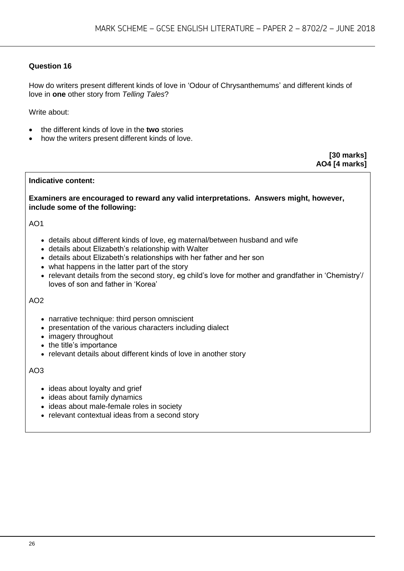How do writers present different kinds of love in 'Odour of Chrysanthemums' and different kinds of love in **one** other story from *Telling Tales*?

Write about:

- the different kinds of love in the **two** stories
- how the writers present different kinds of love.

**[30 marks] AO4 [4 marks]**

#### **Indicative content:**

**Examiners are encouraged to reward any valid interpretations. Answers might, however, include some of the following:**

#### AO1

- details about different kinds of love, eg maternal/between husband and wife
- details about Elizabeth's relationship with Walter
- details about Elizabeth's relationships with her father and her son
- what happens in the latter part of the story
- relevant details from the second story, eg child's love for mother and grandfather in 'Chemistry'/ loves of son and father in 'Korea'

#### AO2

- narrative technique: third person omniscient
- presentation of the various characters including dialect
- imagery throughout
- the title's importance
- relevant details about different kinds of love in another story

- ideas about loyalty and grief
- ideas about family dynamics
- ideas about male-female roles in society
- relevant contextual ideas from a second story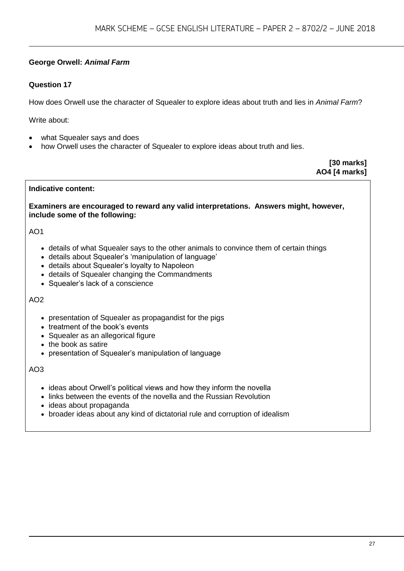# **George Orwell:** *Animal Farm*

# **Question 17**

How does Orwell use the character of Squealer to explore ideas about truth and lies in *Animal Farm*?

Write about:

- what Squealer says and does
- how Orwell uses the character of Squealer to explore ideas about truth and lies.

**[30 marks] AO4 [4 marks]**

#### **Indicative content:**

**Examiners are encouraged to reward any valid interpretations. Answers might, however, include some of the following:**

#### AO1

- details of what Squealer says to the other animals to convince them of certain things
- details about Squealer's 'manipulation of language'
- details about Squealer's loyalty to Napoleon
- details of Squealer changing the Commandments
- Squealer's lack of a conscience

#### AO2

- presentation of Squealer as propagandist for the pigs
- treatment of the book's events
- Squealer as an allegorical figure
- the book as satire
- presentation of Squealer's manipulation of language

- ideas about Orwell's political views and how they inform the novella
- links between the events of the novella and the Russian Revolution
- ideas about propaganda
- broader ideas about any kind of dictatorial rule and corruption of idealism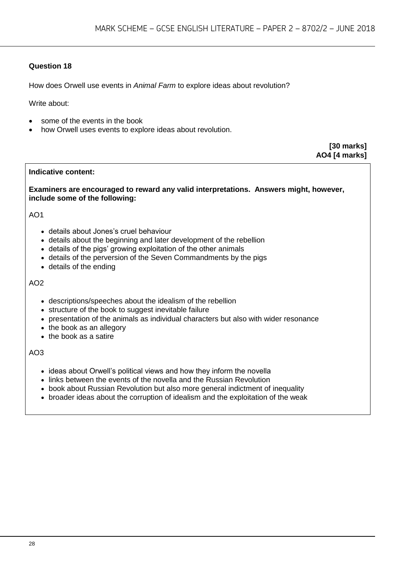How does Orwell use events in *Animal Farm* to explore ideas about revolution?

Write about:

- some of the events in the book
- how Orwell uses events to explore ideas about revolution.

**[30 marks] AO4 [4 marks]**

#### **Indicative content:**

**Examiners are encouraged to reward any valid interpretations. Answers might, however, include some of the following:**

AO1

- details about Jones's cruel behaviour
- details about the beginning and later development of the rebellion
- details of the pigs' growing exploitation of the other animals
- details of the perversion of the Seven Commandments by the pigs
- details of the ending

#### AO2

- descriptions/speeches about the idealism of the rebellion
- structure of the book to suggest inevitable failure
- presentation of the animals as individual characters but also with wider resonance
- the book as an allegory
- the book as a satire

- ideas about Orwell's political views and how they inform the novella
- links between the events of the novella and the Russian Revolution
- book about Russian Revolution but also more general indictment of inequality
- broader ideas about the corruption of idealism and the exploitation of the weak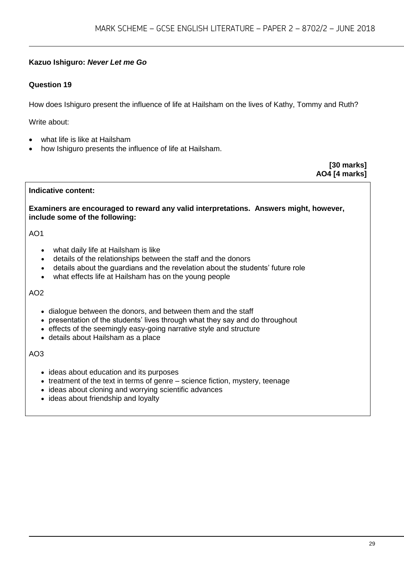# **Kazuo Ishiguro:** *Never Let me Go*

# **Question 19**

How does Ishiguro present the influence of life at Hailsham on the lives of Kathy, Tommy and Ruth?

Write about:

- what life is like at Hailsham
- how Ishiguro presents the influence of life at Hailsham.

**[30 marks] AO4 [4 marks]**

#### **Indicative content:**

**Examiners are encouraged to reward any valid interpretations. Answers might, however, include some of the following:**

# AO1

- what daily life at Hailsham is like
- details of the relationships between the staff and the donors
- details about the guardians and the revelation about the students' future role
- what effects life at Hailsham has on the young people

#### AO2

- dialogue between the donors, and between them and the staff
- presentation of the students' lives through what they say and do throughout
- effects of the seemingly easy-going narrative style and structure
- details about Hailsham as a place

- ideas about education and its purposes
- treatment of the text in terms of genre science fiction, mystery, teenage
- ideas about cloning and worrying scientific advances
- ideas about friendship and loyalty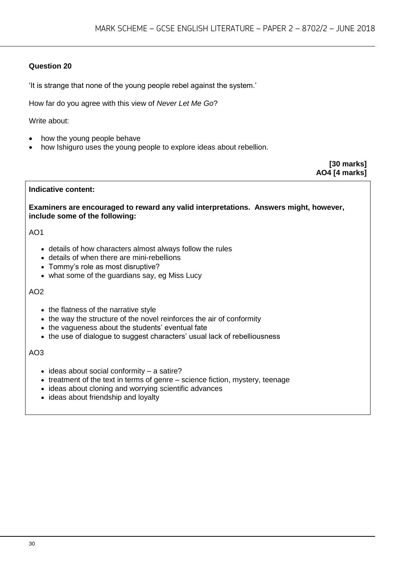'It is strange that none of the young people rebel against the system.'

How far do you agree with this view of *Never Let Me Go*?

Write about:

- how the young people behave
- how Ishiguro uses the young people to explore ideas about rebellion.

**[30 marks] AO4 [4 marks]**

#### **Indicative content:**

**Examiners are encouraged to reward any valid interpretations. Answers might, however, include some of the following:**

AO1

- details of how characters almost always follow the rules
- details of when there are mini-rebellions
- Tommy's role as most disruptive?
- what some of the guardians say, eg Miss Lucy

#### AO2

- the flatness of the narrative style
- the way the structure of the novel reinforces the air of conformity
- the vagueness about the students' eventual fate
- the use of dialogue to suggest characters' usual lack of rebelliousness

- $\bullet$  ideas about social conformity a satire?
- $\bullet$  treatment of the text in terms of genre science fiction, mystery, teenage
- ideas about cloning and worrying scientific advances
- ideas about friendship and loyalty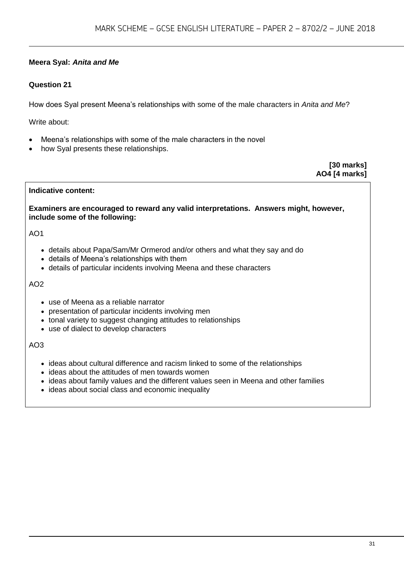# **Meera Syal:** *Anita and Me*

# **Question 21**

How does Syal present Meena's relationships with some of the male characters in *Anita and Me*?

Write about:

- Meena's relationships with some of the male characters in the novel
- how Syal presents these relationships.

**[30 marks] AO4 [4 marks]**

# **Indicative content:**

**Examiners are encouraged to reward any valid interpretations. Answers might, however, include some of the following:**

# AO1

- details about Papa/Sam/Mr Ormerod and/or others and what they say and do
- details of Meena's relationships with them
- details of particular incidents involving Meena and these characters

#### AO2

- use of Meena as a reliable narrator
- presentation of particular incidents involving men
- tonal variety to suggest changing attitudes to relationships
- use of dialect to develop characters

- ideas about cultural difference and racism linked to some of the relationships
- ideas about the attitudes of men towards women
- ideas about family values and the different values seen in Meena and other families
- ideas about social class and economic inequality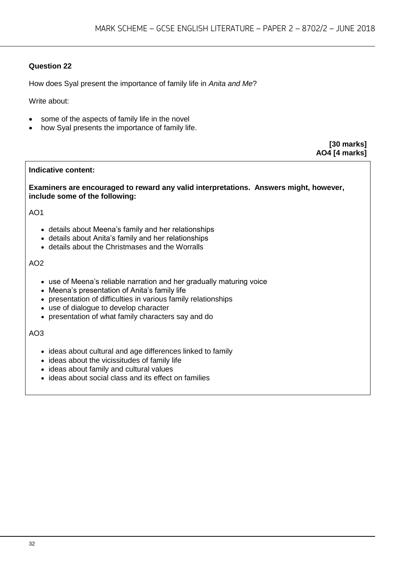How does Syal present the importance of family life in *Anita and Me*?

Write about:

- some of the aspects of family life in the novel
- how Syal presents the importance of family life.

**[30 marks] AO4 [4 marks]**

#### **Indicative content:**

**Examiners are encouraged to reward any valid interpretations. Answers might, however, include some of the following:**

AO1

- details about Meena's family and her relationships
- details about Anita's family and her relationships
- details about the Christmases and the Worralls

#### AO2

- use of Meena's reliable narration and her gradually maturing voice
- Meena's presentation of Anita's family life
- presentation of difficulties in various family relationships
- use of dialogue to develop character
- presentation of what family characters say and do

- ideas about cultural and age differences linked to family
- $\bullet$  ideas about the vicissitudes of family life
- ideas about family and cultural values
- ideas about social class and its effect on families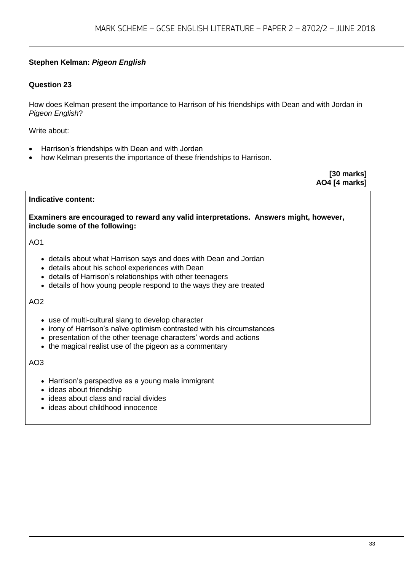# **Stephen Kelman:** *Pigeon English*

# **Question 23**

How does Kelman present the importance to Harrison of his friendships with Dean and with Jordan in *Pigeon English*?

Write about:

- Harrison's friendships with Dean and with Jordan
- how Kelman presents the importance of these friendships to Harrison.

**[30 marks] AO4 [4 marks]**

#### **Indicative content:**

**Examiners are encouraged to reward any valid interpretations. Answers might, however, include some of the following:**

AO1

- details about what Harrison says and does with Dean and Jordan
- details about his school experiences with Dean
- details of Harrison's relationships with other teenagers
- details of how young people respond to the ways they are treated

AO2

- use of multi-cultural slang to develop character
- irony of Harrison's naïve optimism contrasted with his circumstances
- presentation of the other teenage characters' words and actions
- the magical realist use of the pigeon as a commentary

- Harrison's perspective as a young male immigrant
- ideas about friendship
- ideas about class and racial divides
- ideas about childhood innocence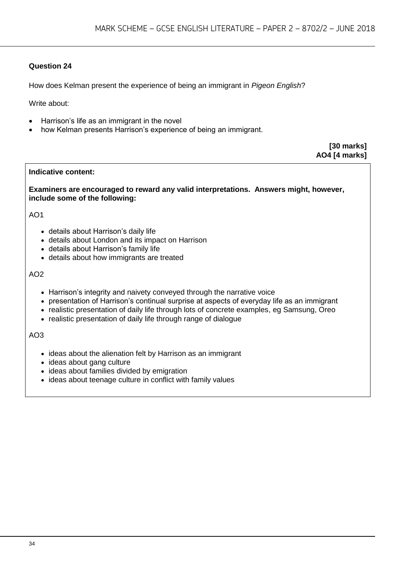How does Kelman present the experience of being an immigrant in *Pigeon English*?

Write about:

- Harrison's life as an immigrant in the novel
- how Kelman presents Harrison's experience of being an immigrant.

**[30 marks] AO4 [4 marks]**

#### **Indicative content:**

**Examiners are encouraged to reward any valid interpretations. Answers might, however, include some of the following:**

AO1

- details about Harrison's daily life
- details about London and its impact on Harrison
- details about Harrison's family life
- details about how immigrants are treated

#### AO2

- Harrison's integrity and naivety conveyed through the narrative voice
- presentation of Harrison's continual surprise at aspects of everyday life as an immigrant
- realistic presentation of daily life through lots of concrete examples, eg Samsung, Oreo
- realistic presentation of daily life through range of dialogue

- ideas about the alienation felt by Harrison as an immigrant
- ideas about gang culture
- ideas about families divided by emigration
- ideas about teenage culture in conflict with family values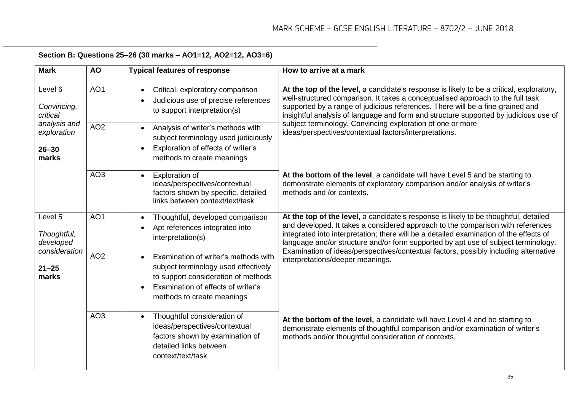| Section B: Questions 25–26 (30 marks – AO1=12, AO2=12, AO3=6) |  |
|---------------------------------------------------------------|--|
|---------------------------------------------------------------|--|

| <b>Mark</b>                                                                             | <b>AO</b>       | <b>Typical features of response</b>                                                                                                                                                                  | How to arrive at a mark                                                                                                                                                                                                                                                                                                                                                                                                                         |
|-----------------------------------------------------------------------------------------|-----------------|------------------------------------------------------------------------------------------------------------------------------------------------------------------------------------------------------|-------------------------------------------------------------------------------------------------------------------------------------------------------------------------------------------------------------------------------------------------------------------------------------------------------------------------------------------------------------------------------------------------------------------------------------------------|
| Level 6<br>Convincing,<br>critical<br>analysis and<br>exploration<br>$26 - 30$<br>marks | AO <sub>1</sub> | Critical, exploratory comparison<br>$\bullet$<br>Judicious use of precise references<br>to support interpretation(s)                                                                                 | At the top of the level, a candidate's response is likely to be a critical, exploratory,<br>well-structured comparison. It takes a conceptualised approach to the full task<br>supported by a range of judicious references. There will be a fine-grained and<br>insightful analysis of language and form and structure supported by judicious use of                                                                                           |
|                                                                                         | AO <sub>2</sub> | Analysis of writer's methods with<br>$\bullet$<br>subject terminology used judiciously<br>Exploration of effects of writer's<br>methods to create meanings                                           | subject terminology. Convincing exploration of one or more<br>ideas/perspectives/contextual factors/interpretations.                                                                                                                                                                                                                                                                                                                            |
|                                                                                         | AO <sub>3</sub> | <b>Exploration of</b><br>$\bullet$<br>ideas/perspectives/contextual<br>factors shown by specific, detailed<br>links between context/text/task                                                        | At the bottom of the level, a candidate will have Level 5 and be starting to<br>demonstrate elements of exploratory comparison and/or analysis of writer's<br>methods and /or contexts.                                                                                                                                                                                                                                                         |
| Level 5<br>Thoughtful,<br>developed<br>consideration<br>$21 - 25$<br>marks              | AO <sub>1</sub> | Thoughtful, developed comparison<br>$\bullet$<br>Apt references integrated into<br>$\bullet$<br>interpretation(s)                                                                                    | At the top of the level, a candidate's response is likely to be thoughtful, detailed<br>and developed. It takes a considered approach to the comparison with references<br>integrated into interpretation; there will be a detailed examination of the effects of<br>language and/or structure and/or form supported by apt use of subject terminology.<br>Examination of ideas/perspectives/contextual factors, possibly including alternative |
|                                                                                         | AO <sub>2</sub> | Examination of writer's methods with<br>$\bullet$<br>subject terminology used effectively<br>to support consideration of methods<br>Examination of effects of writer's<br>methods to create meanings | interpretations/deeper meanings.                                                                                                                                                                                                                                                                                                                                                                                                                |
|                                                                                         | AO <sub>3</sub> | Thoughtful consideration of<br>$\bullet$<br>ideas/perspectives/contextual<br>factors shown by examination of<br>detailed links between<br>context/text/task                                          | At the bottom of the level, a candidate will have Level 4 and be starting to<br>demonstrate elements of thoughtful comparison and/or examination of writer's<br>methods and/or thoughtful consideration of contexts.                                                                                                                                                                                                                            |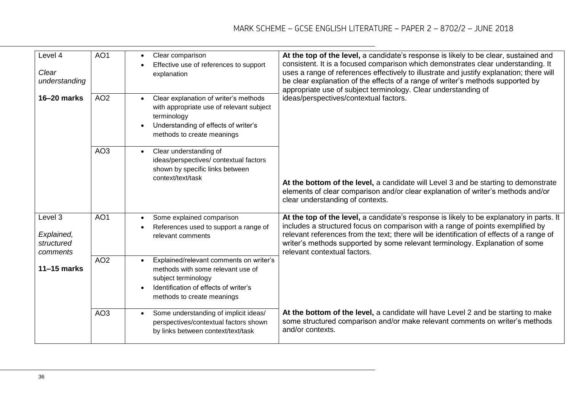| Level 4<br>Clear<br>understanding               | AO <sub>1</sub> | Clear comparison<br>$\bullet$<br>Effective use of references to support<br>explanation                                                                                                  | At the top of the level, a candidate's response is likely to be clear, sustained and<br>consistent. It is a focused comparison which demonstrates clear understanding. It<br>uses a range of references effectively to illustrate and justify explanation; there will<br>be clear explanation of the effects of a range of writer's methods supported by<br>appropriate use of subject terminology. Clear understanding of |
|-------------------------------------------------|-----------------|-----------------------------------------------------------------------------------------------------------------------------------------------------------------------------------------|----------------------------------------------------------------------------------------------------------------------------------------------------------------------------------------------------------------------------------------------------------------------------------------------------------------------------------------------------------------------------------------------------------------------------|
| 16-20 marks                                     | AO <sub>2</sub> | Clear explanation of writer's methods<br>$\bullet$<br>with appropriate use of relevant subject<br>terminology<br>Understanding of effects of writer's<br>methods to create meanings     | ideas/perspectives/contextual factors.                                                                                                                                                                                                                                                                                                                                                                                     |
|                                                 | AO <sub>3</sub> | Clear understanding of<br>$\bullet$<br>ideas/perspectives/ contextual factors<br>shown by specific links between<br>context/text/task                                                   | At the bottom of the level, a candidate will Level 3 and be starting to demonstrate<br>elements of clear comparison and/or clear explanation of writer's methods and/or<br>clear understanding of contexts.                                                                                                                                                                                                                |
| Level 3<br>Explained,<br>structured<br>comments | AO <sub>1</sub> | Some explained comparison<br>$\bullet$<br>References used to support a range of<br>relevant comments                                                                                    | At the top of the level, a candidate's response is likely to be explanatory in parts. It<br>includes a structured focus on comparison with a range of points exemplified by<br>relevant references from the text; there will be identification of effects of a range of<br>writer's methods supported by some relevant terminology. Explanation of some<br>relevant contextual factors.                                    |
| $11-15$ marks                                   | AO <sub>2</sub> | Explained/relevant comments on writer's<br>$\bullet$<br>methods with some relevant use of<br>subject terminology<br>Identification of effects of writer's<br>methods to create meanings |                                                                                                                                                                                                                                                                                                                                                                                                                            |
|                                                 | AO <sub>3</sub> | Some understanding of implicit ideas/<br>$\bullet$<br>perspectives/contextual factors shown<br>by links between context/text/task                                                       | At the bottom of the level, a candidate will have Level 2 and be starting to make<br>some structured comparison and/or make relevant comments on writer's methods<br>and/or contexts.                                                                                                                                                                                                                                      |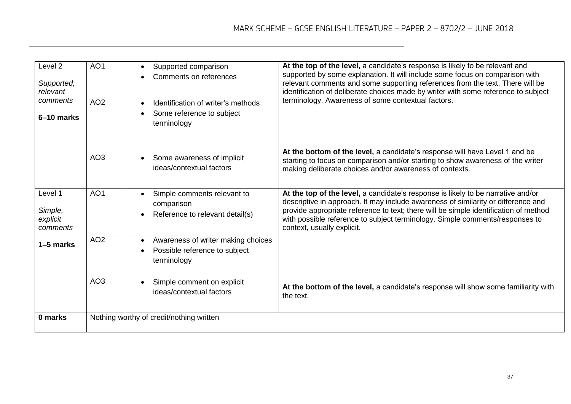| Level 2<br>Supported,<br>relevant<br>comments | AO <sub>1</sub> | Supported comparison<br>$\bullet$<br>Comments on references<br>$\bullet$                                     | At the top of the level, a candidate's response is likely to be relevant and<br>supported by some explanation. It will include some focus on comparison with<br>relevant comments and some supporting references from the text. There will be<br>identification of deliberate choices made by writer with some reference to subject<br>terminology. Awareness of some contextual factors. |  |
|-----------------------------------------------|-----------------|--------------------------------------------------------------------------------------------------------------|-------------------------------------------------------------------------------------------------------------------------------------------------------------------------------------------------------------------------------------------------------------------------------------------------------------------------------------------------------------------------------------------|--|
| 6-10 marks                                    | AO <sub>2</sub> | Identification of writer's methods<br>$\bullet$<br>Some reference to subject<br>$\bullet$<br>terminology     |                                                                                                                                                                                                                                                                                                                                                                                           |  |
|                                               | AO <sub>3</sub> | Some awareness of implicit<br>$\bullet$<br>ideas/contextual factors                                          | At the bottom of the level, a candidate's response will have Level 1 and be<br>starting to focus on comparison and/or starting to show awareness of the writer<br>making deliberate choices and/or awareness of contexts.                                                                                                                                                                 |  |
| Level 1<br>Simple,<br>explicit<br>comments    | AO <sub>1</sub> | Simple comments relevant to<br>$\bullet$<br>comparison<br>Reference to relevant detail(s)<br>$\bullet$       | At the top of the level, a candidate's response is likely to be narrative and/or<br>descriptive in approach. It may include awareness of similarity or difference and<br>provide appropriate reference to text; there will be simple identification of method<br>with possible reference to subject terminology. Simple comments/responses to<br>context, usually explicit.               |  |
| 1–5 marks                                     | AO <sub>2</sub> | Awareness of writer making choices<br>$\bullet$<br>Possible reference to subject<br>$\bullet$<br>terminology |                                                                                                                                                                                                                                                                                                                                                                                           |  |
|                                               | AO <sub>3</sub> | Simple comment on explicit<br>$\bullet$<br>ideas/contextual factors                                          | At the bottom of the level, a candidate's response will show some familiarity with<br>the text.                                                                                                                                                                                                                                                                                           |  |
| 0 marks                                       |                 | Nothing worthy of credit/nothing written                                                                     |                                                                                                                                                                                                                                                                                                                                                                                           |  |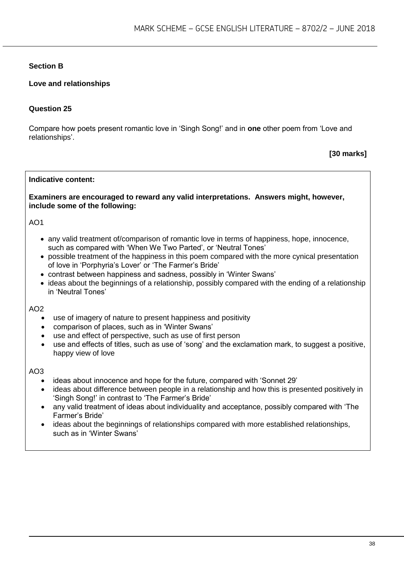# **Section B**

# **Love and relationships**

# **Question 25**

Compare how poets present romantic love in 'Singh Song!' and in **one** other poem from 'Love and relationships'.

# **[30 marks]**

#### **Indicative content:**

#### **Examiners are encouraged to reward any valid interpretations. Answers might, however, include some of the following:**

#### AO1

- any valid treatment of/comparison of romantic love in terms of happiness, hope, innocence, such as compared with 'When We Two Parted', or 'Neutral Tones'
- possible treatment of the happiness in this poem compared with the more cynical presentation of love in 'Porphyria's Lover' or 'The Farmer's Bride'
- contrast between happiness and sadness, possibly in 'Winter Swans'
- ideas about the beginnings of a relationship, possibly compared with the ending of a relationship in 'Neutral Tones'

#### $AO2$

- use of imagery of nature to present happiness and positivity
- comparison of places, such as in 'Winter Swans'
- use and effect of perspective, such as use of first person
- use and effects of titles, such as use of 'song' and the exclamation mark, to suggest a positive, happy view of love

- ideas about innocence and hope for the future, compared with 'Sonnet 29'
- ideas about difference between people in a relationship and how this is presented positively in 'Singh Song!' in contrast to 'The Farmer's Bride'
- any valid treatment of ideas about individuality and acceptance, possibly compared with 'The Farmer's Bride'
- ideas about the beginnings of relationships compared with more established relationships, such as in 'Winter Swans'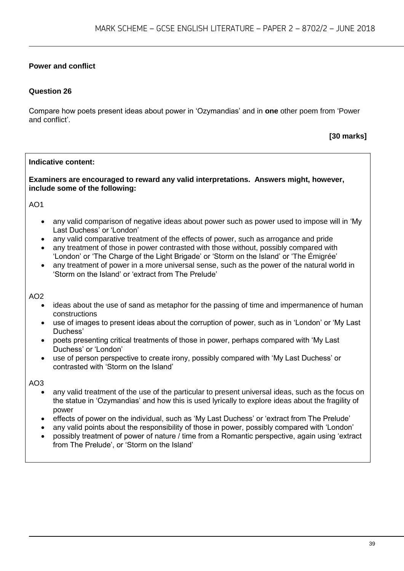# **Power and conflict**

# **Question 26**

Compare how poets present ideas about power in 'Ozymandias' and in **one** other poem from 'Power and conflict'.

**[30 marks]**

#### **Indicative content:**

#### **Examiners are encouraged to reward any valid interpretations. Answers might, however, include some of the following:**

AO1

- any valid comparison of negative ideas about power such as power used to impose will in 'My Last Duchess' or 'London'
- any valid comparative treatment of the effects of power, such as arrogance and pride
- any treatment of those in power contrasted with those without, possibly compared with 'London' or 'The Charge of the Light Brigade' or 'Storm on the Island' or 'The Émigrée'
- any treatment of power in a more universal sense, such as the power of the natural world in 'Storm on the Island' or 'extract from The Prelude'

#### AO2

- ideas about the use of sand as metaphor for the passing of time and impermanence of human constructions
- use of images to present ideas about the corruption of power, such as in 'London' or 'My Last Duchess'
- poets presenting critical treatments of those in power, perhaps compared with 'My Last Duchess' or 'London'
- use of person perspective to create irony, possibly compared with 'My Last Duchess' or contrasted with 'Storm on the Island'

- any valid treatment of the use of the particular to present universal ideas, such as the focus on the statue in 'Ozymandias' and how this is used lyrically to explore ideas about the fragility of power
- effects of power on the individual, such as 'My Last Duchess' or 'extract from The Prelude'
- any valid points about the responsibility of those in power, possibly compared with 'London'
- possibly treatment of power of nature / time from a Romantic perspective, again using 'extract from The Prelude', or 'Storm on the Island'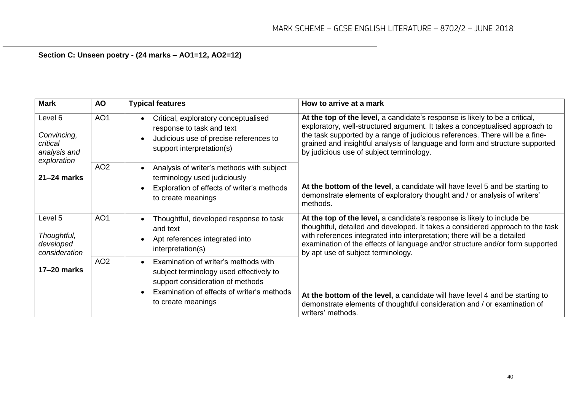# **Section C: Unseen poetry - (24 marks – AO1=12, AO2=12)**

| <b>Mark</b>                                                       | <b>AO</b>       | <b>Typical features</b>                                                                                                                                                                              | How to arrive at a mark                                                                                                                                                                                                                                                                                                                                                 |
|-------------------------------------------------------------------|-----------------|------------------------------------------------------------------------------------------------------------------------------------------------------------------------------------------------------|-------------------------------------------------------------------------------------------------------------------------------------------------------------------------------------------------------------------------------------------------------------------------------------------------------------------------------------------------------------------------|
| Level 6<br>Convincing,<br>critical<br>analysis and<br>exploration | AO <sub>1</sub> | Critical, exploratory conceptualised<br>$\bullet$<br>response to task and text<br>Judicious use of precise references to<br>$\bullet$<br>support interpretation(s)                                   | At the top of the level, a candidate's response is likely to be a critical,<br>exploratory, well-structured argument. It takes a conceptualised approach to<br>the task supported by a range of judicious references. There will be a fine-<br>grained and insightful analysis of language and form and structure supported<br>by judicious use of subject terminology. |
| $21 - 24$ marks                                                   | AO <sub>2</sub> | Analysis of writer's methods with subject<br>$\bullet$<br>terminology used judiciously<br>Exploration of effects of writer's methods<br>$\bullet$<br>to create meanings                              | At the bottom of the level, a candidate will have level 5 and be starting to<br>demonstrate elements of exploratory thought and / or analysis of writers'<br>methods.                                                                                                                                                                                                   |
| Level 5<br>Thoughtful,<br>developed<br>consideration              | AO <sub>1</sub> | Thoughtful, developed response to task<br>$\bullet$<br>and text<br>Apt references integrated into<br>$\bullet$<br>interpretation(s)                                                                  | At the top of the level, a candidate's response is likely to include be<br>thoughtful, detailed and developed. It takes a considered approach to the task<br>with references integrated into interpretation; there will be a detailed<br>examination of the effects of language and/or structure and/or form supported<br>by apt use of subject terminology.            |
| $17-20$ marks                                                     | AO <sub>2</sub> | Examination of writer's methods with<br>$\bullet$<br>subject terminology used effectively to<br>support consideration of methods<br>Examination of effects of writer's methods<br>to create meanings | At the bottom of the level, a candidate will have level 4 and be starting to<br>demonstrate elements of thoughtful consideration and / or examination of<br>writers' methods.                                                                                                                                                                                           |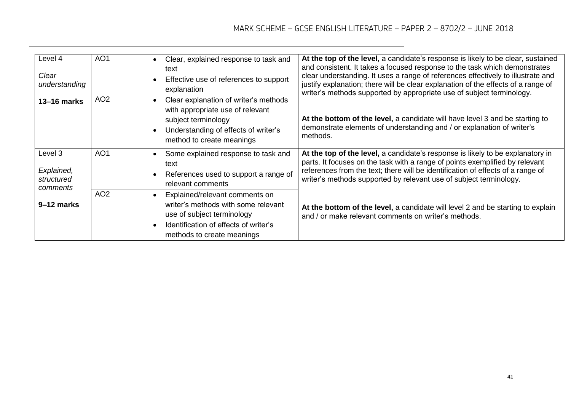| Level 4<br>Clear<br>understanding               | AO <sub>1</sub> | Clear, explained response to task and<br>text<br>Effective use of references to support<br>explanation                                                                     | At the top of the level, a candidate's response is likely to be clear, sustained<br>and consistent. It takes a focused response to the task which demonstrates<br>clear understanding. It uses a range of references effectively to illustrate and<br>justify explanation; there will be clear explanation of the effects of a range of<br>writer's methods supported by appropriate use of subject terminology. |
|-------------------------------------------------|-----------------|----------------------------------------------------------------------------------------------------------------------------------------------------------------------------|------------------------------------------------------------------------------------------------------------------------------------------------------------------------------------------------------------------------------------------------------------------------------------------------------------------------------------------------------------------------------------------------------------------|
| $13 - 16$ marks                                 | AO <sub>2</sub> | Clear explanation of writer's methods<br>with appropriate use of relevant<br>subject terminology<br>Understanding of effects of writer's<br>method to create meanings      | At the bottom of the level, a candidate will have level 3 and be starting to<br>demonstrate elements of understanding and / or explanation of writer's<br>methods.                                                                                                                                                                                                                                               |
| Level 3<br>Explained,<br>structured<br>comments | AO <sub>1</sub> | Some explained response to task and<br>text<br>References used to support a range of<br>relevant comments                                                                  | At the top of the level, a candidate's response is likely to be explanatory in<br>parts. It focuses on the task with a range of points exemplified by relevant<br>references from the text; there will be identification of effects of a range of<br>writer's methods supported by relevant use of subject terminology.                                                                                          |
| 9-12 marks                                      | AO <sub>2</sub> | Explained/relevant comments on<br>writer's methods with some relevant<br>use of subject terminology<br>Identification of effects of writer's<br>methods to create meanings | At the bottom of the level, a candidate will level 2 and be starting to explain<br>and / or make relevant comments on writer's methods.                                                                                                                                                                                                                                                                          |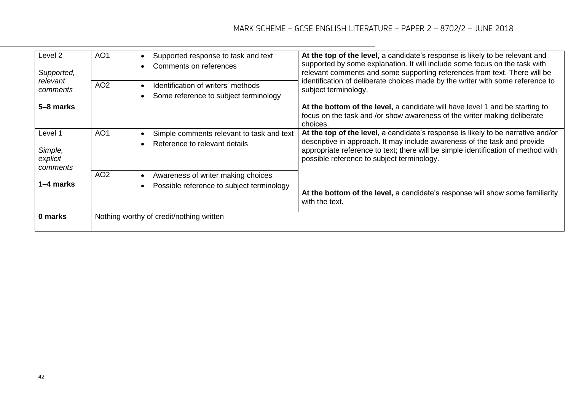| Level 2<br>Supported,<br>relevant          | AO <sub>1</sub> | Supported response to task and text<br>$\bullet$<br>Comments on references<br>$\bullet$                   | At the top of the level, a candidate's response is likely to be relevant and<br>supported by some explanation. It will include some focus on the task with<br>relevant comments and some supporting references from text. There will be<br>identification of deliberate choices made by the writer with some reference to |
|--------------------------------------------|-----------------|-----------------------------------------------------------------------------------------------------------|---------------------------------------------------------------------------------------------------------------------------------------------------------------------------------------------------------------------------------------------------------------------------------------------------------------------------|
| comments                                   | AO <sub>2</sub> | Identification of writers' methods<br>$\bullet$<br>Some reference to subject terminology<br>$\bullet$     | subject terminology.                                                                                                                                                                                                                                                                                                      |
| 5–8 marks                                  |                 |                                                                                                           | At the bottom of the level, a candidate will have level 1 and be starting to<br>focus on the task and /or show awareness of the writer making deliberate<br>choices.                                                                                                                                                      |
| Level 1<br>Simple,<br>explicit<br>comments | AO <sub>1</sub> | Simple comments relevant to task and text<br>$\bullet$<br>Reference to relevant details<br>$\bullet$      | At the top of the level, a candidate's response is likely to be narrative and/or<br>descriptive in approach. It may include awareness of the task and provide<br>appropriate reference to text; there will be simple identification of method with<br>possible reference to subject terminology.                          |
| 1–4 marks                                  | AO <sub>2</sub> | Awareness of writer making choices<br>$\bullet$<br>Possible reference to subject terminology<br>$\bullet$ | At the bottom of the level, a candidate's response will show some familiarity<br>with the text.                                                                                                                                                                                                                           |
| 0 marks                                    |                 | Nothing worthy of credit/nothing written                                                                  |                                                                                                                                                                                                                                                                                                                           |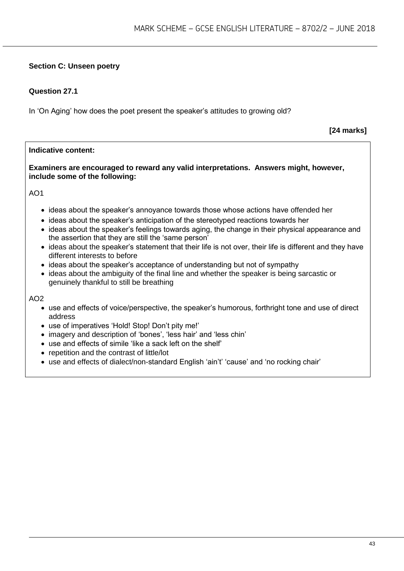# **Section C: Unseen poetry**

# **Question 27.1**

In 'On Aging' how does the poet present the speaker's attitudes to growing old?

**[24 marks]**

#### **Indicative content:**

**Examiners are encouraged to reward any valid interpretations. Answers might, however, include some of the following:**

AO1

- ideas about the speaker's annoyance towards those whose actions have offended her
- ideas about the speaker's anticipation of the stereotyped reactions towards her
- ideas about the speaker's feelings towards aging, the change in their physical appearance and the assertion that they are still the 'same person'
- ideas about the speaker's statement that their life is not over, their life is different and they have different interests to before
- ideas about the speaker's acceptance of understanding but not of sympathy
- ideas about the ambiguity of the final line and whether the speaker is being sarcastic or genuinely thankful to still be breathing

- use and effects of voice/perspective, the speaker's humorous, forthright tone and use of direct address
- use of imperatives 'Hold! Stop! Don't pity me!'
- imagery and description of 'bones', 'less hair' and 'less chin'
- use and effects of simile 'like a sack left on the shelf'
- repetition and the contrast of little/lot
- use and effects of dialect/non-standard English 'ain't' 'cause' and 'no rocking chair'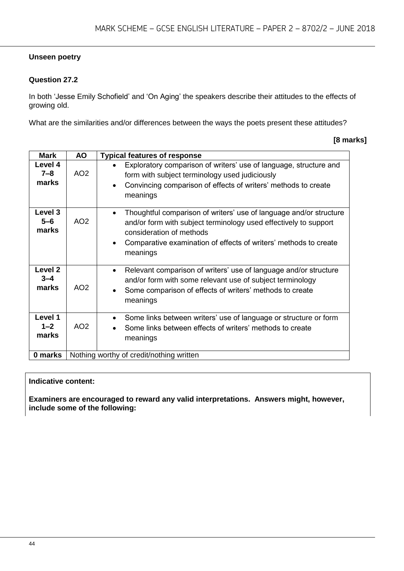# **Unseen poetry**

# **Question 27.2**

In both 'Jesse Emily Schofield' and 'On Aging' the speakers describe their attitudes to the effects of growing old.

What are the similarities and/or differences between the ways the poets present these attitudes?

| [8 marks] |
|-----------|
|           |

| <b>Mark</b>                            | <b>AO</b>                                | <b>Typical features of response</b>                                                                                                                                                                                                                             |
|----------------------------------------|------------------------------------------|-----------------------------------------------------------------------------------------------------------------------------------------------------------------------------------------------------------------------------------------------------------------|
| Level 4<br>$7 - 8$<br>marks            | AO <sub>2</sub>                          | Exploratory comparison of writers' use of language, structure and<br>form with subject terminology used judiciously<br>Convincing comparison of effects of writers' methods to create<br>$\bullet$<br>meanings                                                  |
| Level 3<br>$5 - 6$<br>marks            | AO <sub>2</sub>                          | Thoughtful comparison of writers' use of language and/or structure<br>$\bullet$<br>and/or form with subject terminology used effectively to support<br>consideration of methods<br>Comparative examination of effects of writers' methods to create<br>meanings |
| Level <sub>2</sub><br>$3 - 4$<br>marks | AO <sub>2</sub>                          | Relevant comparison of writers' use of language and/or structure<br>$\bullet$<br>and/or form with some relevant use of subject terminology<br>Some comparison of effects of writers' methods to create<br>meanings                                              |
| Level 1<br>$1 - 2$<br>marks            | AO <sub>2</sub>                          | Some links between writers' use of language or structure or form<br>Some links between effects of writers' methods to create<br>meanings                                                                                                                        |
| 0 marks                                | Nothing worthy of credit/nothing written |                                                                                                                                                                                                                                                                 |

#### **Indicative content:**

**Examiners are encouraged to reward any valid interpretations. Answers might, however, include some of the following:**